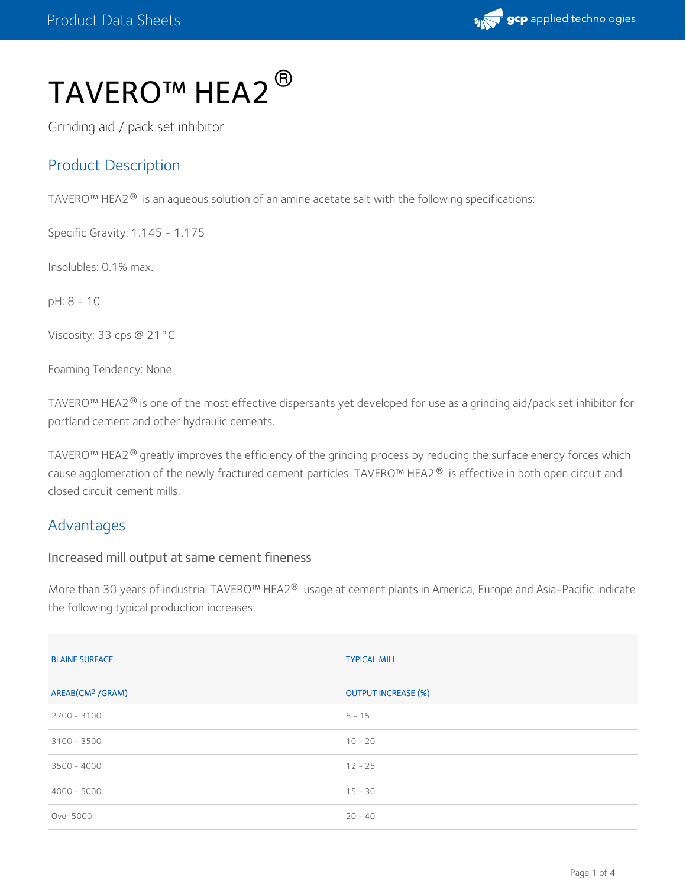

# TAVERO™ HEA2 $^\circledR$

Grinding aid / pack set inhibitor

## Product Description

TAVERO™ HEA2® is an aqueous solution of an amine acetate salt with the following specifications:

Specific Gravity: 1.145 - 1.175

Insolubles: 0.1% max.

pH: 8 - 10

Viscosity: 33 cps @ 21°C

Foaming Tendency: None

TAVERO™ HEA2® is one of the most effective dispersants yet developed for use as a grinding aid/pack set inhibitor for portland cement and other hydraulic cements.

TAVERO™ HEA2 $^\circledR$  greatly improves the efficiency of the grinding process by reducing the surface energy forces which cause agglomeration of the newly fractured cement particles. TAVERO™ HEA2® is effective in both open circuit and closed circuit cement mills.

#### Advantages

#### Increased mill output at same cement fineness

More than 30 years of industrial TAVERO™ HEA2® usage at cement plants in America, Europe and Asia-Pacific indicate the following typical production increases:

| <b>BLAINE SURFACE</b>        | <b>TYPICAL MILL</b>        |
|------------------------------|----------------------------|
| AREAB(CM <sup>2</sup> /GRAM) | <b>OUTPUT INCREASE (%)</b> |
| 2700 - 3100                  | $8 - 15$                   |
| $3100 - 3500$                | $10 - 20$                  |
| $3500 - 4000$                | $12 - 25$                  |
| $4000 - 5000$                | $15 - 30$                  |
| Over 5000                    | $20 - 40$                  |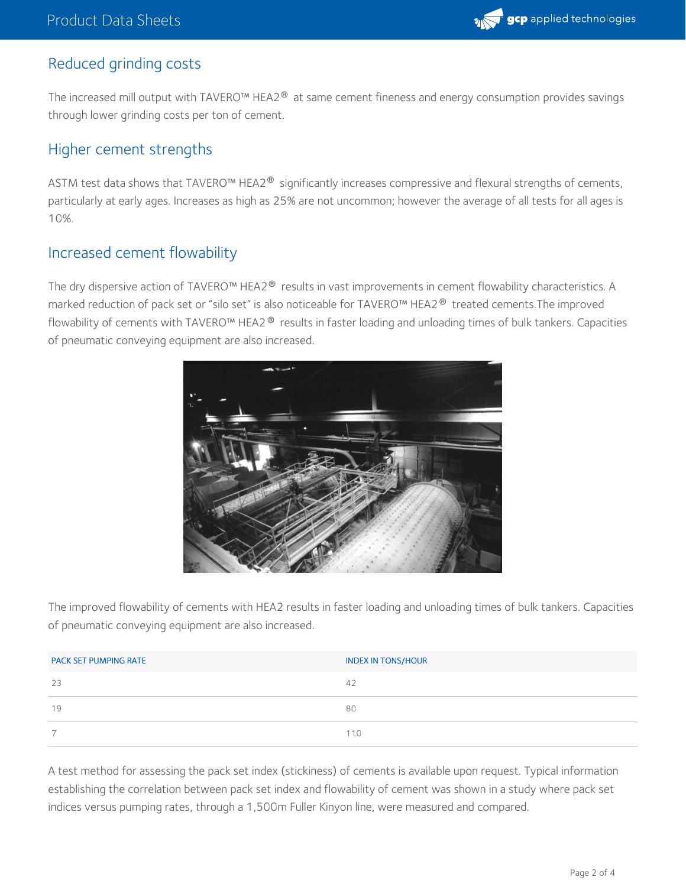

#### Reduced grinding costs

The increased mill output with TAVERO™ HEA2® at same cement fineness and energy consumption provides savings through lower grinding costs per ton of cement.

#### Higher cement strengths

<code>ASTM</code> test data shows that <code>TAVERO</code>™ <code>HEA2®</code> significantly increases compressive and flexural strengths of cements, particularly at early ages. Increases as high as 25% are not uncommon; however the average of all tests for all ages is 10%.

#### Increased cement flowability

The dry dispersive action of TAVERO™ HEA2® results in vast improvements in cement flowability characteristics. A marked reduction of pack set or "silo set" is also noticeable for TAVERO™ HEA2® treated cements.The improved flowability of cements with TAVERO™ HEA2® results in faster loading and unloading times of bulk tankers. Capacities of pneumatic conveying equipment are also increased.



The improved flowability of cements with HEA2 results in faster loading and unloading times of bulk tankers. Capacities of pneumatic conveying equipment are also increased.

| <b>PACK SET PUMPING RATE</b> | <b>INDEX IN TONS/HOUR</b> |
|------------------------------|---------------------------|
| 23                           | 42                        |
| 19                           | 80                        |
|                              | 110                       |

A test method for assessing the pack set index (stickiness) of cements is available upon request. Typical information establishing the correlation between pack set index and flowability of cement was shown in a study where pack set indices versus pumping rates, through a 1,500m Fuller Kinyon line, were measured and compared.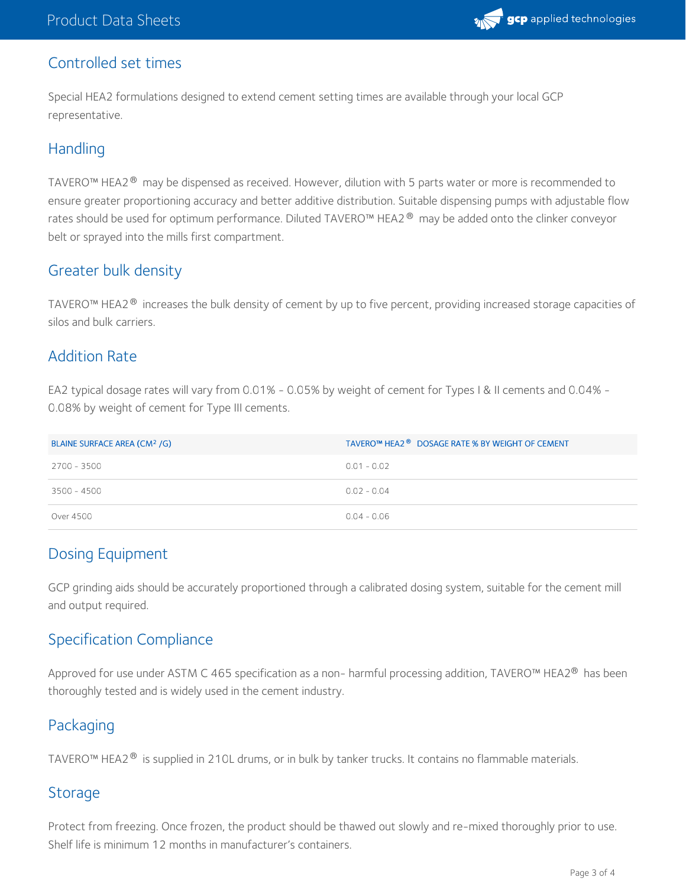

#### Controlled set times

Special HEA2 formulations designed to extend cement setting times are available through your local GCP representative.

#### **Handling**

TAVERO™ HEA2 $^\circledast$  may be dispensed as received. However, dilution with 5 parts water or more is recommended to ensure greater proportioning accuracy and better additive distribution. Suitable dispensing pumps with adjustable flow rates should be used for optimum performance. Diluted TAVERO™ HEA2® may be added onto the clinker conveyor belt or sprayed into the mills first compartment.

## Greater bulk density

TAVERO™ HEA2® increases the bulk density of cement by up to five percent, providing increased storage capacities of silos and bulk carriers.

#### Addition Rate

EA2 typical dosage rates will vary from 0.01% - 0.05% by weight of cement for Types I & II cements and 0.04% - 0.08% by weight of cement for Type III cements.

| BLAINE SURFACE AREA (CM <sup>2</sup> /G) | TAVERO™ HEA2 <sup>®</sup> DOSAGE RATE % BY WEIGHT OF CEMENT |
|------------------------------------------|-------------------------------------------------------------|
| 2700 - 3500                              | $0.01 - 0.02$                                               |
| 3500 - 4500                              | $0.02 - 0.04$                                               |
| Over 4500                                | $0.04 - 0.06$                                               |

## Dosing Equipment

GCP grinding aids should be accurately proportioned through a calibrated dosing system, suitable for the cement mill and output required.

## Specification Compliance

Approved for use under ASTM C 465 specification as a non- harmful processing addition, TAVERO™ HEA2® has been thoroughly tested and is widely used in the cement industry.

## Packaging

TAVERO™ HEA2® is supplied in 210L drums, or in bulk by tanker trucks. It contains no flammable materials.

#### Storage

Protect from freezing. Once frozen, the product should be thawed out slowly and re-mixed thoroughly prior to use. Shelf life is minimum 12 months in manufacturer's containers.